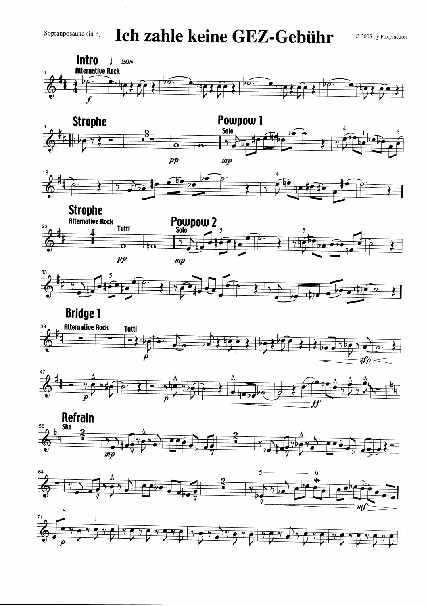Ich zahle keine GEZ-Gebühr

© 2005 by Poxymedon

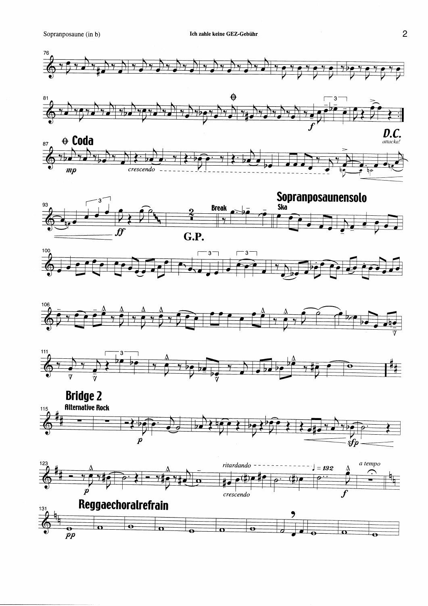













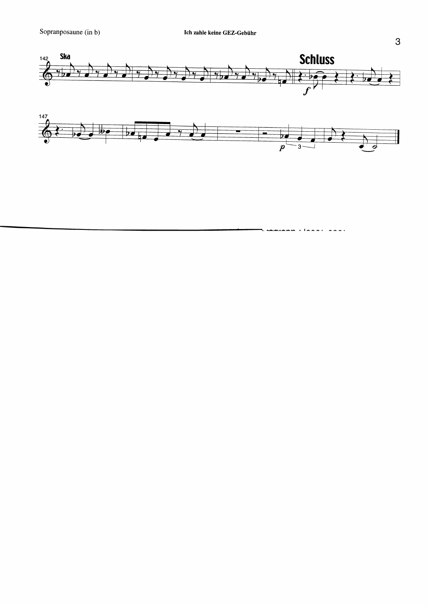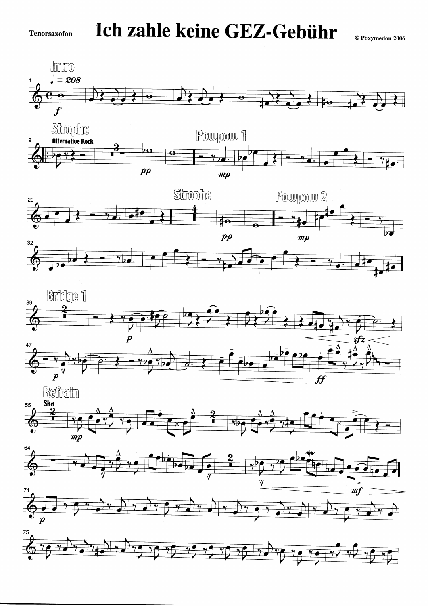$\odot$  Poxymedon 2006













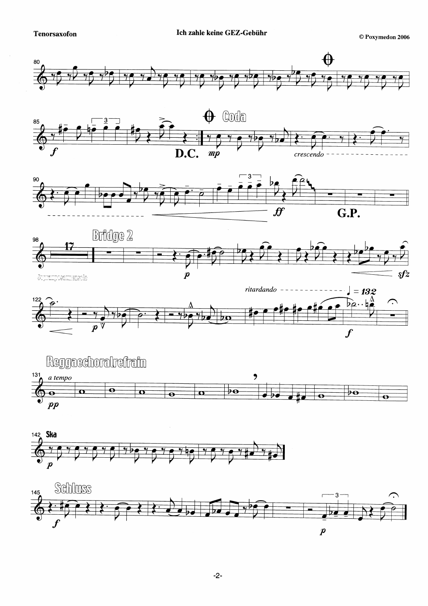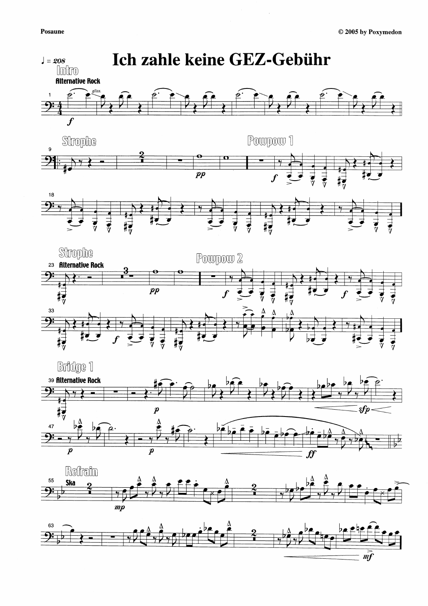

 $\cdot$